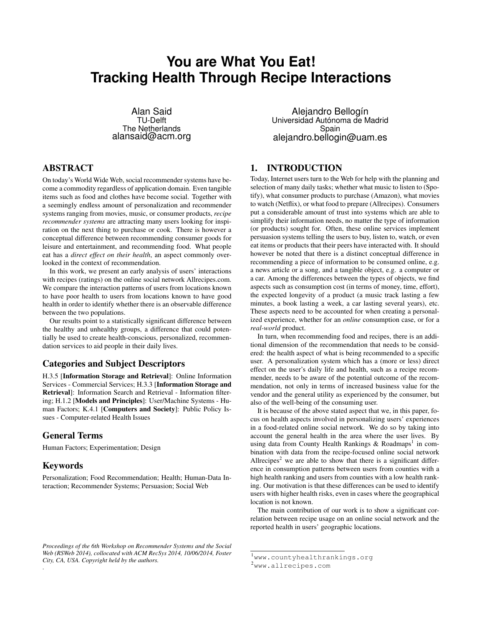# **You are What You Eat! Tracking Health Through Recipe Interactions**

Alan Said TU-Delft The Netherlands alansaid@acm.org

# ABSTRACT

On today's World Wide Web, social recommender systems have become a commodity regardless of application domain. Even tangible items such as food and clothes have become social. Together with a seemingly endless amount of personalization and recommender systems ranging from movies, music, or consumer products, *recipe recommender systems* are attracting many users looking for inspiration on the next thing to purchase or cook. There is however a conceptual difference between recommending consumer goods for leisure and entertainment, and recommending food. What people eat has a *direct effect on their health*, an aspect commonly overlooked in the context of recommendation.

In this work, we present an early analysis of users' interactions with recipes (ratings) on the online social network Allrecipes.com. We compare the interaction patterns of users from locations known to have poor health to users from locations known to have good health in order to identify whether there is an observable difference between the two populations.

Our results point to a statistically significant difference between the healthy and unhealthy groups, a difference that could potentially be used to create health-conscious, personalized, recommendation services to aid people in their daily lives.

## Categories and Subject Descriptors

H.3.5 [Information Storage and Retrieval]: Online Information Services - Commercial Services; H.3.3 [Information Storage and Retrieval]: Information Search and Retrieval - Information filtering; H.1.2 [Models and Principles]: User/Machine Systems - Human Factors; K.4.1 [Computers and Society]: Public Policy Issues - Computer-related Health Issues

## General Terms

Human Factors; Experimentation; Design

#### Keywords

Personalization; Food Recommendation; Health; Human-Data Interaction; Recommender Systems; Persuasion; Social Web

Alejandro Bellogín Universidad Autónoma de Madrid Spain alejandro.bellogin@uam.es

# <span id="page-0-2"></span>1. INTRODUCTION

Today, Internet users turn to the Web for help with the planning and selection of many daily tasks; whether what music to listen to (Spotify), what consumer products to purchase (Amazon), what movies to watch (Netflix), or what food to prepare (Allrecipes). Consumers put a considerable amount of trust into systems which are able to simplify their information needs, no matter the type of information (or products) sought for. Often, these online services implement persuasion systems telling the users to buy, listen to, watch, or even eat items or products that their peers have interacted with. It should however be noted that there is a distinct conceptual difference in recommending a piece of information to be consumed online, e.g. a news article or a song, and a tangible object, e.g. a computer or a car. Among the differences between the types of objects, we find aspects such as consumption cost (in terms of money, time, effort), the expected longevity of a product (a music track lasting a few minutes, a book lasting a week, a car lasting several years), etc. These aspects need to be accounted for when creating a personalized experience, whether for an *online* consumption case, or for a *real-world* product.

In turn, when recommending food and recipes, there is an additional dimension of the recommendation that needs to be considered: the health aspect of what is being recommended to a specific user. A personalization system which has a (more or less) direct effect on the user's daily life and health, such as a recipe recommender, needs to be aware of the potential outcome of the recommendation, not only in terms of increased business value for the vendor and the general utility as experienced by the consumer, but also of the well-being of the consuming user.

It is because of the above stated aspect that we, in this paper, focus on health aspects involved in personalizing users' experiences in a food-related online social network. We do so by taking into account the general health in the area where the user lives. By using data from County Health Rankings & Roadmaps<sup>[1](#page-0-0)</sup> in combination with data from the recipe-focused online social network Allrecipes<sup>[2](#page-0-1)</sup> we are able to show that there is a significant difference in consumption patterns between users from counties with a high health ranking and users from counties with a low health ranking. Our motivation is that these differences can be used to identify users with higher health risks, even in cases where the geographical location is not known.

The main contribution of our work is to show a significant correlation between recipe usage on an online social network and the reported health in users' geographic locations.

*Proceedings of the 6th Workshop on Recommender Systems and the Social Web (RSWeb 2014), collocated with ACM RecSys 2014, 10/06/2014, Foster City, CA, USA. Copyright held by the authors.* .

<span id="page-0-0"></span><sup>1</sup>[www.countyhealthrankings.org](http://www.countyhealthrankings.org/)

<span id="page-0-1"></span><sup>2</sup>[www.allrecipes.com](http://www.allrecipes.com)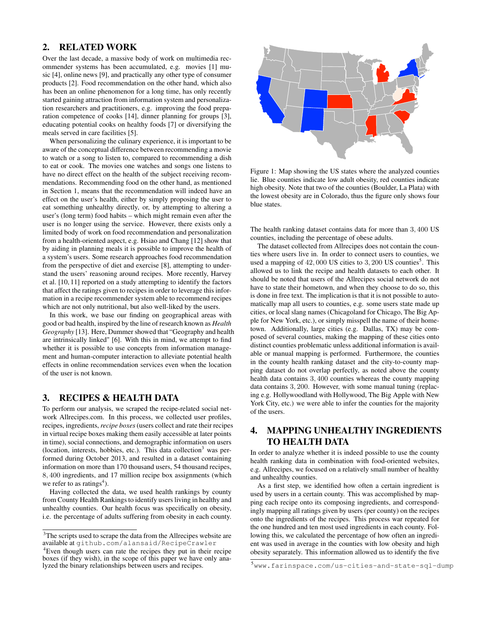## 2. RELATED WORK

Over the last decade, a massive body of work on multimedia recommender systems has been accumulated, e.g. movies [\[1\]](#page-3-0) music [\[4\]](#page-3-1), online news [\[9\]](#page-3-2), and practically any other type of consumer products [\[2\]](#page-3-3). Food recommendation on the other hand, which also has been an online phenomenon for a long time, has only recently started gaining attraction from information system and personalization researchers and practitioners, e.g. improving the food preparation competence of cooks [\[14\]](#page-3-4), dinner planning for groups [\[3\]](#page-3-5), educating potential cooks on healthy foods [\[7\]](#page-3-6) or diversifying the meals served in care facilities [\[5\]](#page-3-7).

When personalizing the culinary experience, it is important to be aware of the conceptual difference between recommending a movie to watch or a song to listen to, compared to recommending a dish to eat or cook. The movies one watches and songs one listens to have no direct effect on the health of the subject receiving recommendations. Recommending food on the other hand, as mentioned in Section [1,](#page-0-2) means that the recommendation will indeed have an effect on the user's health, either by simply proposing the user to eat something unhealthy directly, or, by attempting to altering a user's (long term) food habits – which might remain even after the user is no longer using the service. However, there exists only a limited body of work on food recommendation and personalization from a health-oriented aspect, e.g. Hsiao and Chang [\[12\]](#page-3-8) show that by aiding in planning meals it is possible to improve the health of a system's users. Some research approaches food recommendation from the perspective of diet and exercise [\[8\]](#page-3-9), attempting to understand the users' reasoning around recipes. More recently, Harvey et al. [\[10,](#page-3-10) [11\]](#page-3-11) reported on a study attempting to identify the factors that affect the ratings given to recipes in order to leverage this information in a recipe recommender system able to recommend recipes which are not only nutritional, but also well-liked by the users.

In this work, we base our finding on geographical areas with good or bad health, inspired by the line of research known as *Health Geography* [\[13\]](#page-3-12). Here, Dummer showed that "Geography and health are intrinsically linked" [\[6\]](#page-3-13). With this in mind, we attempt to find whether it is possible to use concepts from information management and human-computer interaction to alleviate potential health effects in online recommendation services even when the location of the user is not known.

## 3. RECIPES & HEALTH DATA

To perform our analysis, we scraped the recipe-related social network Allrecipes.com. In this process, we collected user profiles, recipes, ingredients, *recipe boxes*(users collect and rate their recipes in virtual recipe boxes making them easily accessible at later points in time), social connections, and demographic information on users (location, interests, hobbies, etc.). This data collection<sup>[3](#page-1-0)</sup> was performed during October 2013, and resulted in a dataset containing information on more than 170 thousand users, 54 thousand recipes, 8, 400 ingredients, and 17 million recipe box assignments (which we refer to as ratings<sup>[4](#page-1-1)</sup>).

Having collected the data, we used health rankings by county from County Health Rankings to identify users living in healthy and unhealthy counties. Our health focus was specifically on obesity, i.e. the percentage of adults suffering from obesity in each county.

<span id="page-1-3"></span>

Figure 1: Map showing the US states where the analyzed counties lie. Blue counties indicate low adult obesity, red counties indicate high obesity. Note that two of the counties (Boulder, La Plata) with the lowest obesity are in Colorado, thus the figure only shows four blue states.

The health ranking dataset contains data for more than 3, 400 US counties, including the percentage of obese adults.

The dataset collected from Allrecipes does not contain the counties where users live in. In order to connect users to counties, we used a mapping of  $42,000$  US cities to  $3,200$  US counties<sup>[5](#page-1-2)</sup>. This allowed us to link the recipe and health datasets to each other. It should be noted that users of the Allrecipes social network do not have to state their hometown, and when they choose to do so, this is done in free text. The implication is that it is not possible to automatically map all users to counties, e.g. some users state made up cities, or local slang names (Chicagoland for Chicago, The Big Apple for New York, etc.), or simply misspell the name of their hometown. Additionally, large cities (e.g. Dallas, TX) may be composed of several counties, making the mapping of these cities onto distinct counties problematic unless additional information is available or manual mapping is performed. Furthermore, the counties in the county health ranking dataset and the city-to-county mapping dataset do not overlap perfectly, as noted above the county health data contains 3, 400 counties whereas the county mapping data contains 3, 200. However, with some manual tuning (replacing e.g. Hollywoodland with Hollywood, The Big Apple with New York City, etc.) we were able to infer the counties for the majority of the users.

# 4. MAPPING UNHEALTHY INGREDIENTS TO HEALTH DATA

In order to analyze whether it is indeed possible to use the county health ranking data in combination with food-oriented websites, e.g. Allrecipes, we focused on a relatively small number of healthy and unhealthy counties.

As a first step, we identified how often a certain ingredient is used by users in a certain county. This was accomplished by mapping each recipe onto its composing ingredients, and correspondingly mapping all ratings given by users (per county) on the recipes onto the ingredients of the recipes. This process war repeated for the one hundred and ten most used ingredients in each county. Following this, we calculated the percentage of how often an ingredient was used in average in the counties with low obesity and high obesity separately. This information allowed us to identify the five

<span id="page-1-0"></span><sup>&</sup>lt;sup>3</sup>The scripts used to scrape the data from the Allrecipes website are available at [github.com/alansaid/RecipeCrawler](https://github.com/alansaid/RecipeCrawler)

<span id="page-1-1"></span><sup>&</sup>lt;sup>4</sup>Even though users can rate the recipes they put in their recipe boxes (if they wish), in the scope of this paper we have only analyzed the binary relationships between users and recipes.

<span id="page-1-2"></span><sup>5</sup>[www.farinspace.com/us-cities-and-state-sql-dump](http://www.farinspace.com/us-cities-and-state-sql-dump/)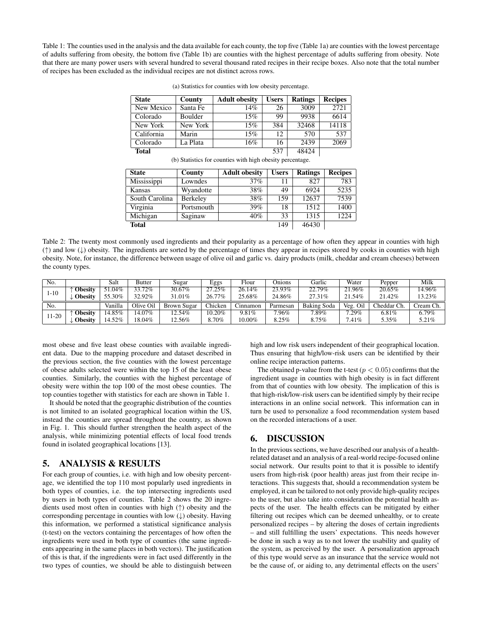<span id="page-2-0"></span>Table 1: The counties used in the analysis and the data available for each county, the top five (Table [1a\)](#page-2-0) are counties with the lowest percentage of adults suffering from obesity, the bottom five (Table [1b\)](#page-2-0) are counties with the highest percentage of adults suffering from obesity. Note that there are many power users with several hundred to several thousand rated recipes in their recipe boxes. Also note that the total number of recipes has been excluded as the individual recipes are not distinct across rows.

| <b>State</b> | County   | <b>Adult obesity</b> | <b>Users</b> | <b>Ratings</b> | <b>Recipes</b> |  |
|--------------|----------|----------------------|--------------|----------------|----------------|--|
| New Mexico   | Santa Fe | 14%                  | 26           | 3009           | 2721           |  |
| Colorado     | Boulder  | 15%                  | 99           | 9938           | 6614           |  |
| New York     | New York | 15%                  | 384          | 32468          | 14118          |  |
| California   | Marin    | 15%                  | 12           | 570            | 537            |  |
| Colorado     | La Plata | 16%                  | 16           | 2439           | 2069           |  |
| <b>Total</b> |          |                      | 537          | 48424          |                |  |

(a) Statistics for counties with low obesity percentage.

(b) Statistics for counties with high obesity percentage.

| <b>State</b>   | County          | <b>Adult obesity</b> | <b>Users</b> | <b>Ratings</b> | <b>Recipes</b> |
|----------------|-----------------|----------------------|--------------|----------------|----------------|
| Mississippi    | Lowndes         | 37%                  | 11           | 827            | 783            |
| Kansas         | Wyandotte       | 38%                  | 49           | 6924           | 5235           |
| South Carolina | <b>Berkeley</b> | 38%                  | 159          | 12637          | 7539           |
| Virginia       | Portsmouth      | 39%                  | 18           | 1512           | 1400           |
| Michigan       | Saginaw         | 40%                  | 33           | 1315           | 1224           |
| <b>Total</b>   | 46430           |                      |              |                |                |

<span id="page-2-1"></span>Table 2: The twenty most commonly used ingredients and their popularity as a percentage of how often they appear in counties with high (↑) and low (↓) obesity. The ingredients are sorted by the percentage of times they appear in recipes stored by cooks in counties with high obesity. Note, for instance, the difference between usage of olive oil and garlic vs. dairy products (milk, cheddar and cream cheeses) between the county types.

| No.    |                | Salt      | Butter    | Sugar       | Eggs    | Flour     | Onions   | Garlic      | Water       | Pepper      | Milk      |
|--------|----------------|-----------|-----------|-------------|---------|-----------|----------|-------------|-------------|-------------|-----------|
| $-10$  | Obesitv        | ,1.04%    | 33.72%    | 30.67%      | 27.25%  | 26.14%    | 23.93%   | 22.79%      | .96%        | 20.65%      | 14.96%    |
|        | <b>Obesity</b> | 55.30%    | 32.92%    | 31.01%      | 26.77%  | 25.68%    | 24.86%   | 27.31\%     | 21.54%      | 21.42%      | 13.23%    |
| No.    |                | Vanilla   | Olive Oil | Brown Sugar | Chicken | Cinnamon  | Parmesan | Baking Soda | Veg.<br>Oil | Cheddar Ch. | Cream Ch. |
| $1-20$ | <b>Obesity</b> | $14.85\%$ | 4.07%     | $12.54\%$   | 10.20%  | $9.81\%$  | $7.96\%$ | $7.89\%$    | 29%         | 6.81%       | $6.79\%$  |
|        | <b>Obesity</b> | 14.52%    | !8.04%    | 12.56%      | 8.70%   | $10.00\%$ | 8.25%    | 8.75%       | .41%        | 5.35%       | 5.21%     |

most obese and five least obese counties with available ingredient data. Due to the mapping procedure and dataset described in the previous section, the five counties with the lowest percentage of obese adults selected were within the top 15 of the least obese counties. Similarly, the counties with the highest percentage of obesity were within the top 100 of the most obese counties. The top counties together with statistics for each are shown in Table [1.](#page-2-0)

It should be noted that the geographic distribution of the counties is not limited to an isolated geographical location within the US, instead the counties are spread throughout the country, as shown in Fig. [1.](#page-1-3) This should further strengthen the health aspect of the analysis, while minimizing potential effects of local food trends found in isolated geographical locations [\[13\]](#page-3-12).

## 5. ANALYSIS & RESULTS

For each group of counties, i.e. with high and low obesity percentage, we identified the top 110 most popularly used ingredients in both types of counties, i.e. the top intersecting ingredients used by users in both types of counties. Table [2](#page-2-1) shows the 20 ingredients used most often in counties with high (↑) obesity and the corresponding percentage in counties with low  $(\downarrow)$  obesity. Having this information, we performed a statistical significance analysis (t-test) on the vectors containing the percentages of how often the ingredients were used in both type of counties (the same ingredients appearing in the same places in both vectors). The justification of this is that, if the ingredients were in fact used differently in the two types of counties, we should be able to distinguish between

high and low risk users independent of their geographical location. Thus ensuring that high/low-risk users can be identified by their online recipe interaction patterns.

The obtained p-value from the t-test ( $p < 0.05$ ) confirms that the ingredient usage in counties with high obesity is in fact different from that of counties with low obesity. The implication of this is that high-risk/low-risk users can be identified simply by their recipe interactions in an online social network. This information can in turn be used to personalize a food recommendation system based on the recorded interactions of a user.

## 6. DISCUSSION

In the previous sections, we have described our analysis of a healthrelated dataset and an analysis of a real-world recipe-focused online social network. Our results point to that it is possible to identify users from high-risk (poor health) areas just from their recipe interactions. This suggests that, should a recommendation system be employed, it can be tailored to not only provide high-quality recipes to the user, but also take into consideration the potential health aspects of the user. The health effects can be mitigated by either filtering out recipes which can be deemed unhealthy, or to create personalized recipes – by altering the doses of certain ingredients – and still fulfilling the users' expectations. This needs however be done in such a way as to not lower the usability and quality of the system, as perceived by the user. A personalization approach of this type would serve as an insurance that the service would not be the cause of, or aiding to, any detrimental effects on the users'